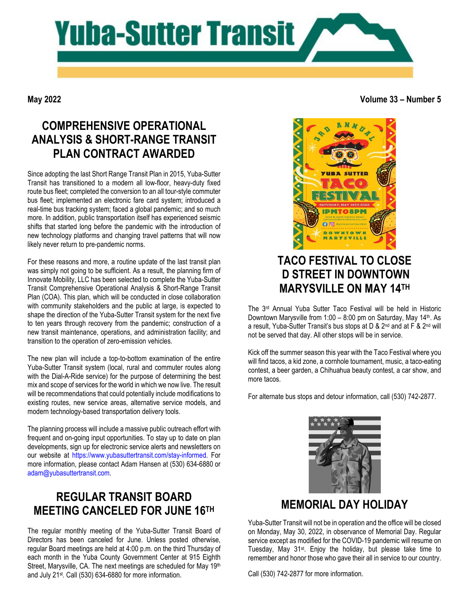

**May 2022**

#### **Volume 33 – Number 5**

# **COMPREHENSIVE OPERATIONAL ANALYSIS & SHORT-RANGE TRANSIT PLAN CONTRACT AWARDED**

Since adopting the last Short Range Transit Plan in 2015, Yuba-Sutter Transit has transitioned to a modern all low-floor, heavy-duty fixed route bus fleet; completed the conversion to an all tour-style commuter bus fleet; implemented an electronic fare card system; introduced a real-time bus tracking system; faced a global pandemic; and so much more. In addition, public transportation itself has experienced seismic shifts that started long before the pandemic with the introduction of new technology platforms and changing travel patterns that will now likely never return to pre-pandemic norms.

For these reasons and more, a routine update of the last transit plan was simply not going to be sufficient. As a result, the planning firm of Innovate Mobility, LLC has been selected to complete the Yuba-Sutter Transit Comprehensive Operational Analysis & Short-Range Transit Plan (COA). This plan, which will be conducted in close collaboration with community stakeholders and the public at large, is expected to shape the direction of the Yuba-Sutter Transit system for the next five to ten years through recovery from the pandemic; construction of a new transit maintenance, operations, and administration facility; and transition to the operation of zero-emission vehicles.

The new plan will include a top-to-bottom examination of the entire Yuba-Sutter Transit system (local, rural and commuter routes along with the Dial-A-Ride service) for the purpose of determining the best mix and scope of services for the world in which we now live. The result will be recommendations that could potentially include modifications to existing routes, new service areas, alternative service models, and modern technology-based transportation delivery tools.

The planning process will include a massive public outreach effort with frequent and on-going input opportunities. To stay up to date on plan developments, sign up for electronic service alerts and newsletters on our website at [https://www.yubasuttertransit.com/stay-informed.](https://www.yubasuttertransit.com/stay-informed) For more information, please contact Adam Hansen at (530) 634-6880 or [adam@yubasuttertransit.com.](mailto:adam@yubasuttertransit.com)

## **REGULAR TRANSIT BOARD MEETING CANCELED FOR JUNE 16TH**

The regular monthly meeting of the Yuba-Sutter Transit Board of Directors has been canceled for June. Unless posted otherwise, regular Board meetings are held at 4:00 p.m. on the third Thursday of each month in the Yuba County Government Center at 915 Eighth Street, Marysville, CA. The next meetings are scheduled for May 19th and July 21st. Call (530) 634-6880 for more information.



# **TACO FESTIVAL TO CLOSE D STREET IN DOWNTOWN MARYSVILLE ON MAY 14TH**

The 3rd Annual Yuba Sutter Taco Festival will be held in Historic Downtown Marysville from  $1:00 - 8:00$  pm on Saturday, May  $14<sup>th</sup>$ . As a result, Yuba-Sutter Transit's bus stops at D & 2<sup>nd</sup> and at F & 2<sup>nd</sup> will not be served that day. All other stops will be in service.

Kick off the summer season this year with the Taco Festival where you will find tacos, a kid zone, a cornhole tournament, music, a taco-eating contest, a beer garden, a Chihuahua beauty contest, a car show, and more tacos.

For alternate bus stops and detour information, call (530) 742-2877.



## **MEMORIAL DAY HOLIDAY**

Yuba-Sutter Transit will not be in operation and the office will be closed on Monday, May 30, 2022, in observance of Memorial Day. Regular service except as modified for the COVID-19 pandemic will resume on Tuesday, May 31st. Enjoy the holiday, but please take time to remember and honor those who gave their all in service to our country.

Call (530) 742-2877 for more information.